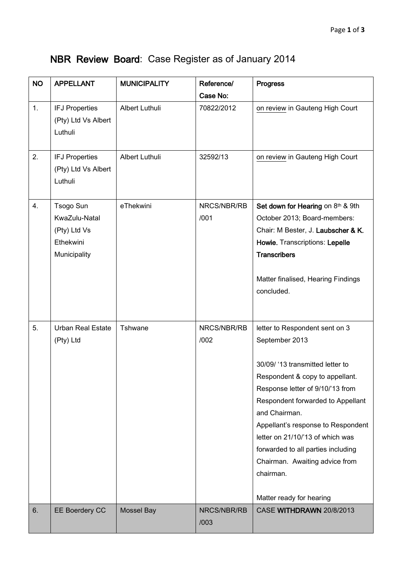## NBR Review Board: Case Register as of January 2014

| <b>NO</b> | <b>APPELLANT</b>                                                        | <b>MUNICIPALITY</b> | Reference/          | <b>Progress</b>                                                                                                                                                                                                                                                                                                                                                                                              |
|-----------|-------------------------------------------------------------------------|---------------------|---------------------|--------------------------------------------------------------------------------------------------------------------------------------------------------------------------------------------------------------------------------------------------------------------------------------------------------------------------------------------------------------------------------------------------------------|
|           |                                                                         |                     | Case No:            |                                                                                                                                                                                                                                                                                                                                                                                                              |
| 1.        | <b>IFJ Properties</b><br>(Pty) Ltd Vs Albert<br>Luthuli                 | Albert Luthuli      | 70822/2012          | on review in Gauteng High Court                                                                                                                                                                                                                                                                                                                                                                              |
| 2.        | <b>IFJ Properties</b><br>(Pty) Ltd Vs Albert<br>Luthuli                 | Albert Luthuli      | 32592/13            | on review in Gauteng High Court                                                                                                                                                                                                                                                                                                                                                                              |
| 4.        | Tsogo Sun<br>KwaZulu-Natal<br>(Pty) Ltd Vs<br>Ethekwini<br>Municipality | eThekwini           | NRCS/NBR/RB<br>/001 | Set down for Hearing on 8th & 9th<br>October 2013; Board-members:<br>Chair: M Bester, J. Laubscher & K.<br>Howie. Transcriptions: Lepelle<br><b>Transcribers</b><br>Matter finalised, Hearing Findings<br>concluded.                                                                                                                                                                                         |
| 5.        | <b>Urban Real Estate</b><br>(Pty) Ltd                                   | Tshwane             | NRCS/NBR/RB<br>/002 | letter to Respondent sent on 3<br>September 2013<br>30/09/ '13 transmitted letter to<br>Respondent & copy to appellant.<br>Response letter of 9/10/'13 from<br>Respondent forwarded to Appellant<br>and Chairman.<br>Appellant's response to Respondent<br>letter on 21/10/'13 of which was<br>forwarded to all parties including<br>Chairman. Awaiting advice from<br>chairman.<br>Matter ready for hearing |
| 6.        | EE Boerdery CC                                                          | <b>Mossel Bay</b>   | NRCS/NBR/RB<br>/003 | CASE WITHDRAWN 20/8/2013                                                                                                                                                                                                                                                                                                                                                                                     |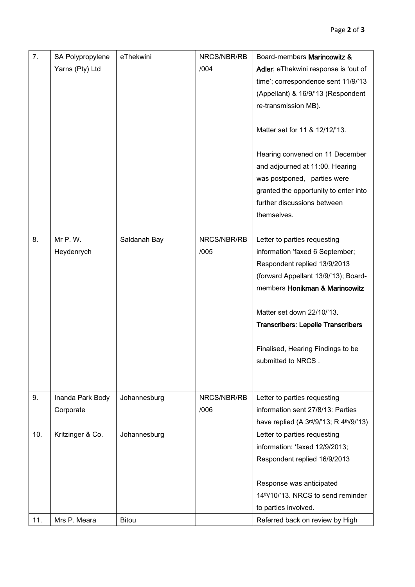| 7.  | SA Polypropylene<br>Yarns (Pty) Ltd | eThekwini    | NRCS/NBR/RB<br>/004 | Board-members Marincowitz &<br>Adler; eThekwini response is 'out of<br>time'; correspondence sent 11/9/'13<br>(Appellant) & 16/9/'13 (Respondent<br>re-transmission MB).                                                                                                                                        |
|-----|-------------------------------------|--------------|---------------------|-----------------------------------------------------------------------------------------------------------------------------------------------------------------------------------------------------------------------------------------------------------------------------------------------------------------|
|     |                                     |              |                     | Matter set for 11 & 12/12/'13.<br>Hearing convened on 11 December<br>and adjourned at 11:00. Hearing<br>was postponed, parties were<br>granted the opportunity to enter into<br>further discussions between<br>themselves.                                                                                      |
| 8.  | Mr P.W.<br>Heydenrych               | Saldanah Bay | NRCS/NBR/RB<br>/005 | Letter to parties requesting<br>information 'faxed 6 September;<br>Respondent replied 13/9/2013<br>(forward Appellant 13/9/'13); Board-<br>members Honikman & Marincowitz<br>Matter set down 22/10/'13.<br><b>Transcribers: Lepelle Transcribers</b><br>Finalised, Hearing Findings to be<br>submitted to NRCS. |
| 9.  | Inanda Park Body<br>Corporate       | Johannesburg | NRCS/NBR/RB<br>/006 | Letter to parties requesting<br>information sent 27/8/13: Parties<br>have replied (A 3rd/9/'13; R 4th/9/'13)                                                                                                                                                                                                    |
| 10. | Kritzinger & Co.                    | Johannesburg |                     | Letter to parties requesting<br>information: 'faxed 12/9/2013;<br>Respondent replied 16/9/2013<br>Response was anticipated<br>14th/10/'13. NRCS to send reminder<br>to parties involved.                                                                                                                        |
| 11. | Mrs P. Meara                        | <b>Bitou</b> |                     | Referred back on review by High                                                                                                                                                                                                                                                                                 |